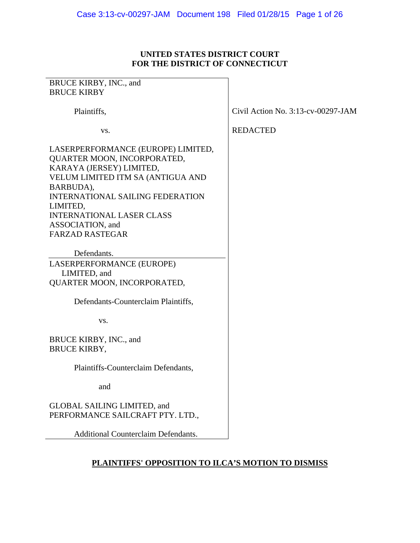## **UNITED STATES DISTRICT COURT FOR THE DISTRICT OF CONNECTICUT**

| BRUCE KIRBY, INC., and                                                                                                                                                                                                                                                                   |                                       |
|------------------------------------------------------------------------------------------------------------------------------------------------------------------------------------------------------------------------------------------------------------------------------------------|---------------------------------------|
| <b>BRUCE KIRBY</b>                                                                                                                                                                                                                                                                       |                                       |
| Plaintiffs,                                                                                                                                                                                                                                                                              | Civil Action No. $3:13$ -cv-00297-JAM |
| VS.                                                                                                                                                                                                                                                                                      | <b>REDACTED</b>                       |
| LASERPERFORMANCE (EUROPE) LIMITED,<br>QUARTER MOON, INCORPORATED,<br>KARAYA (JERSEY) LIMITED,<br>VELUM LIMITED ITM SA (ANTIGUA AND<br>BARBUDA),<br><b>INTERNATIONAL SAILING FEDERATION</b><br>LIMITED,<br><b>INTERNATIONAL LASER CLASS</b><br>ASSOCIATION, and<br><b>FARZAD RASTEGAR</b> |                                       |
| Defendants.                                                                                                                                                                                                                                                                              |                                       |
| LASERPERFORMANCE (EUROPE)                                                                                                                                                                                                                                                                |                                       |
| LIMITED, and<br>QUARTER MOON, INCORPORATED,                                                                                                                                                                                                                                              |                                       |
| Defendants-Counterclaim Plaintiffs,                                                                                                                                                                                                                                                      |                                       |
| VS.                                                                                                                                                                                                                                                                                      |                                       |
| BRUCE KIRBY, INC., and<br><b>BRUCE KIRBY,</b>                                                                                                                                                                                                                                            |                                       |
| Plaintiffs-Counterclaim Defendants,                                                                                                                                                                                                                                                      |                                       |
| and                                                                                                                                                                                                                                                                                      |                                       |
| GLOBAL SAILING LIMITED, and<br>PERFORMANCE SAILCRAFT PTY. LTD.,                                                                                                                                                                                                                          |                                       |
| <b>Additional Counterclaim Defendants.</b>                                                                                                                                                                                                                                               |                                       |

# **PLAINTIFFS' OPPOSITION TO ILCA'S MOTION TO DISMISS**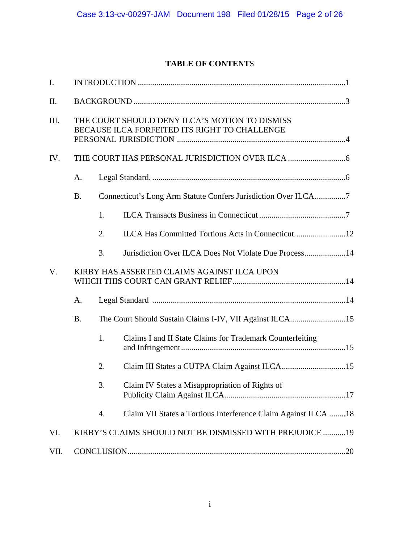# **TABLE OF CONTENT**S

| I.   |           |    |                                                                                                 |  |
|------|-----------|----|-------------------------------------------------------------------------------------------------|--|
| II.  |           |    |                                                                                                 |  |
| III. |           |    | THE COURT SHOULD DENY ILCA'S MOTION TO DISMISS<br>BECAUSE ILCA FORFEITED ITS RIGHT TO CHALLENGE |  |
| IV.  |           |    |                                                                                                 |  |
|      | А.        |    |                                                                                                 |  |
|      | <b>B.</b> |    | Connecticut's Long Arm Statute Confers Jurisdiction Over ILCA7                                  |  |
|      |           | 1. |                                                                                                 |  |
|      |           | 2. | ILCA Has Committed Tortious Acts in Connecticut12                                               |  |
|      |           | 3. | Jurisdiction Over ILCA Does Not Violate Due Process14                                           |  |
| V.   |           |    | KIRBY HAS ASSERTED CLAIMS AGAINST ILCA UPON                                                     |  |
|      | A.        |    |                                                                                                 |  |
|      | <b>B.</b> |    | The Court Should Sustain Claims I-IV, VII Against ILCA15                                        |  |
|      |           | 1. | Claims I and II State Claims for Trademark Counterfeiting                                       |  |
|      |           | 2. |                                                                                                 |  |
|      |           | 3. | Claim IV States a Misappropriation of Rights of                                                 |  |
|      |           | 4. | Claim VII States a Tortious Interference Claim Against ILCA 18                                  |  |
| VI.  |           |    | KIRBY'S CLAIMS SHOULD NOT BE DISMISSED WITH PREJUDICE 19                                        |  |
| VII. |           |    |                                                                                                 |  |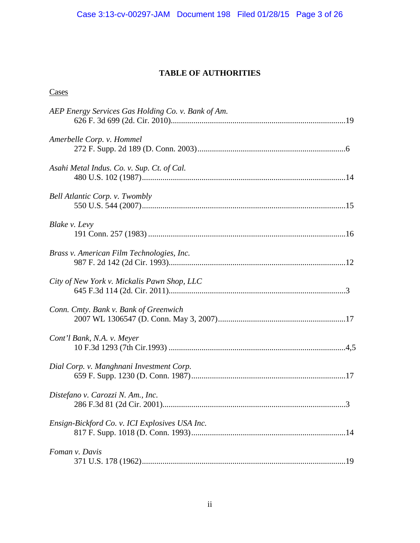# **TABLE OF AUTHORITIES**

# **Cases**

| AEP Energy Services Gas Holding Co. v. Bank of Am. |  |
|----------------------------------------------------|--|
| Amerbelle Corp. v. Hommel                          |  |
| Asahi Metal Indus. Co. v. Sup. Ct. of Cal.         |  |
| Bell Atlantic Corp. v. Twombly                     |  |
| Blake v. Levy                                      |  |
| Brass v. American Film Technologies, Inc.          |  |
| City of New York v. Mickalis Pawn Shop, LLC        |  |
| Conn. Cmty. Bank v. Bank of Greenwich              |  |
| Cont'l Bank, N.A. v. Meyer                         |  |
| Dial Corp. v. Manghnani Investment Corp.           |  |
| Distefano v. Carozzi N. Am., Inc.                  |  |
| Ensign-Bickford Co. v. ICI Explosives USA Inc.     |  |
| Foman v. Davis                                     |  |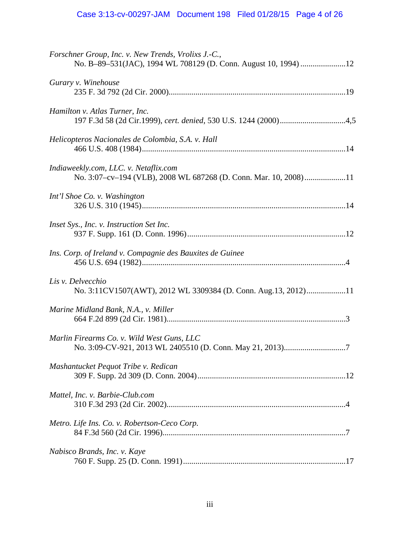| Forschner Group, Inc. v. New Trends, Vrolixs J.-C.,<br>No. B-89-531(JAC), 1994 WL 708129 (D. Conn. August 10, 1994) 12 |
|------------------------------------------------------------------------------------------------------------------------|
| Gurary v. Winehouse                                                                                                    |
| Hamilton v. Atlas Turner, Inc.<br>197 F.3d 58 (2d Cir.1999), cert. denied, 530 U.S. 1244 (2000)4,5                     |
| Helicopteros Nacionales de Colombia, S.A. v. Hall                                                                      |
| Indiaweekly.com, LLC. v. Netaflix.com<br>No. 3:07-cv-194 (VLB), 2008 WL 687268 (D. Conn. Mar. 10, 2008)11              |
| Int'l Shoe Co. v. Washington                                                                                           |
| <i>Inset Sys., Inc. v. Instruction Set Inc.</i>                                                                        |
| Ins. Corp. of Ireland v. Compagnie des Bauxites de Guinee                                                              |
| Lis v. Delvecchio<br>No. 3:11CV1507(AWT), 2012 WL 3309384 (D. Conn. Aug.13, 2012)11                                    |
| Marine Midland Bank, N.A., v. Miller                                                                                   |
| Marlin Firearms Co. v. Wild West Guns, LLC                                                                             |
| Mashantucket Pequot Tribe v. Redican                                                                                   |
| Mattel, Inc. v. Barbie-Club.com                                                                                        |
| Metro. Life Ins. Co. v. Robertson-Ceco Corp.                                                                           |
| Nabisco Brands, Inc. v. Kaye                                                                                           |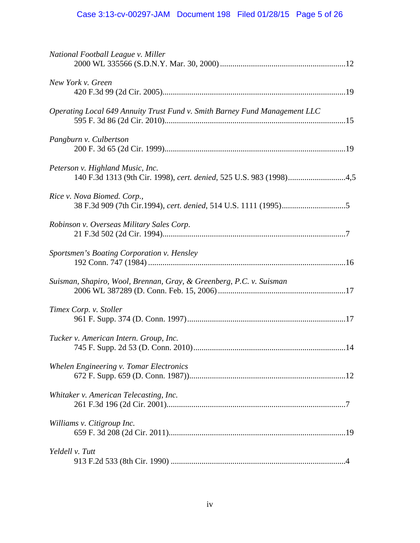| National Football League v. Miller                                                                      |  |
|---------------------------------------------------------------------------------------------------------|--|
| New York v. Green                                                                                       |  |
| Operating Local 649 Annuity Trust Fund v. Smith Barney Fund Management LLC                              |  |
| Pangburn v. Culbertson                                                                                  |  |
| Peterson v. Highland Music, Inc.<br>140 F.3d 1313 (9th Cir. 1998), cert. denied, 525 U.S. 983 (1998)4,5 |  |
| Rice v. Nova Biomed. Corp.,                                                                             |  |
| Robinson v. Overseas Military Sales Corp.                                                               |  |
| Sportsmen's Boating Corporation v. Hensley                                                              |  |
| Suisman, Shapiro, Wool, Brennan, Gray, & Greenberg, P.C. v. Suisman                                     |  |
| Timex Corp. v. Stoller                                                                                  |  |
| Tucker v. American Intern. Group, Inc.                                                                  |  |
| Whelen Engineering v. Tomar Electronics                                                                 |  |
| Whitaker v. American Telecasting, Inc.                                                                  |  |
| Williams v. Citigroup Inc.                                                                              |  |
| Yeldell v. Tutt                                                                                         |  |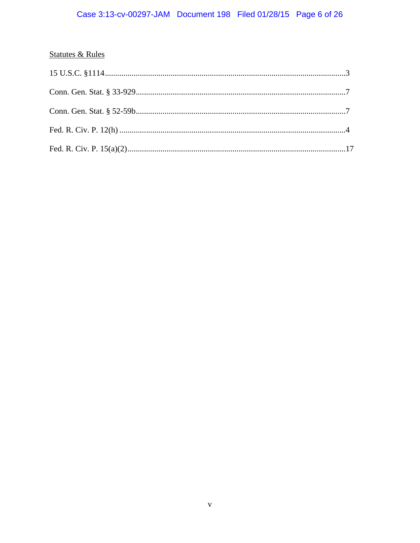# **Statutes & Rules**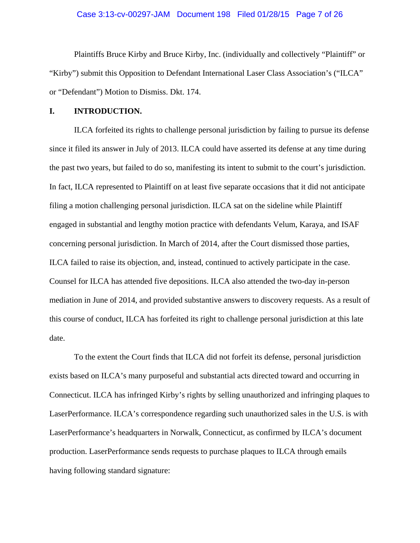## Case 3:13-cv-00297-JAM Document 198 Filed 01/28/15 Page 7 of 26

Plaintiffs Bruce Kirby and Bruce Kirby, Inc. (individually and collectively "Plaintiff" or "Kirby") submit this Opposition to Defendant International Laser Class Association's ("ILCA" or "Defendant") Motion to Dismiss. Dkt. 174.

#### **I. INTRODUCTION.**

 ILCA forfeited its rights to challenge personal jurisdiction by failing to pursue its defense since it filed its answer in July of 2013. ILCA could have asserted its defense at any time during the past two years, but failed to do so, manifesting its intent to submit to the court's jurisdiction. In fact, ILCA represented to Plaintiff on at least five separate occasions that it did not anticipate filing a motion challenging personal jurisdiction. ILCA sat on the sideline while Plaintiff engaged in substantial and lengthy motion practice with defendants Velum, Karaya, and ISAF concerning personal jurisdiction. In March of 2014, after the Court dismissed those parties, ILCA failed to raise its objection, and, instead, continued to actively participate in the case. Counsel for ILCA has attended five depositions. ILCA also attended the two-day in-person mediation in June of 2014, and provided substantive answers to discovery requests. As a result of this course of conduct, ILCA has forfeited its right to challenge personal jurisdiction at this late date.

 To the extent the Court finds that ILCA did not forfeit its defense, personal jurisdiction exists based on ILCA's many purposeful and substantial acts directed toward and occurring in Connecticut. ILCA has infringed Kirby's rights by selling unauthorized and infringing plaques to LaserPerformance. ILCA's correspondence regarding such unauthorized sales in the U.S. is with LaserPerformance's headquarters in Norwalk, Connecticut, as confirmed by ILCA's document production. LaserPerformance sends requests to purchase plaques to ILCA through emails having following standard signature: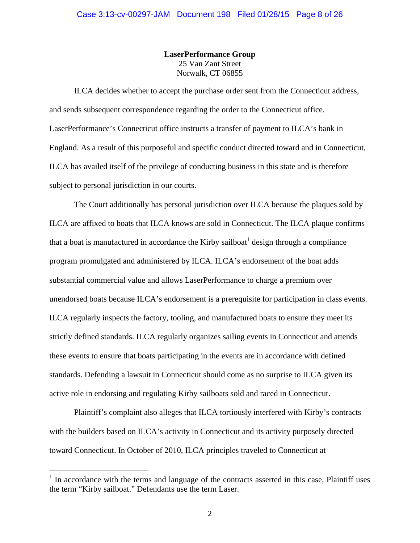**LaserPerformance Group**  25 Van Zant Street Norwalk, CT 06855

 ILCA decides whether to accept the purchase order sent from the Connecticut address, and sends subsequent correspondence regarding the order to the Connecticut office. LaserPerformance's Connecticut office instructs a transfer of payment to ILCA's bank in England. As a result of this purposeful and specific conduct directed toward and in Connecticut, ILCA has availed itself of the privilege of conducting business in this state and is therefore subject to personal jurisdiction in our courts.

 The Court additionally has personal jurisdiction over ILCA because the plaques sold by ILCA are affixed to boats that ILCA knows are sold in Connecticut. The ILCA plaque confirms that a boat is manufactured in accordance the Kirby sailboat<sup>1</sup> design through a compliance program promulgated and administered by ILCA. ILCA's endorsement of the boat adds substantial commercial value and allows LaserPerformance to charge a premium over unendorsed boats because ILCA's endorsement is a prerequisite for participation in class events. ILCA regularly inspects the factory, tooling, and manufactured boats to ensure they meet its strictly defined standards. ILCA regularly organizes sailing events in Connecticut and attends these events to ensure that boats participating in the events are in accordance with defined standards. Defending a lawsuit in Connecticut should come as no surprise to ILCA given its active role in endorsing and regulating Kirby sailboats sold and raced in Connecticut.

 Plaintiff's complaint also alleges that ILCA tortiously interfered with Kirby's contracts with the builders based on ILCA's activity in Connecticut and its activity purposely directed toward Connecticut. In October of 2010, ILCA principles traveled to Connecticut at

 $\overline{a}$ 

 $<sup>1</sup>$  In accordance with the terms and language of the contracts asserted in this case, Plaintiff uses</sup> the term "Kirby sailboat." Defendants use the term Laser.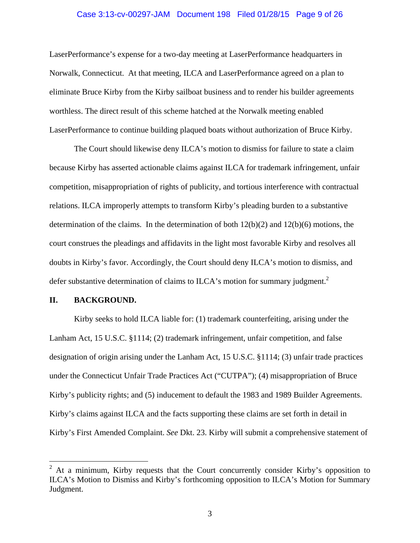#### Case 3:13-cv-00297-JAM Document 198 Filed 01/28/15 Page 9 of 26

LaserPerformance's expense for a two-day meeting at LaserPerformance headquarters in Norwalk, Connecticut. At that meeting, ILCA and LaserPerformance agreed on a plan to eliminate Bruce Kirby from the Kirby sailboat business and to render his builder agreements worthless. The direct result of this scheme hatched at the Norwalk meeting enabled LaserPerformance to continue building plaqued boats without authorization of Bruce Kirby.

 The Court should likewise deny ILCA's motion to dismiss for failure to state a claim because Kirby has asserted actionable claims against ILCA for trademark infringement, unfair competition, misappropriation of rights of publicity, and tortious interference with contractual relations. ILCA improperly attempts to transform Kirby's pleading burden to a substantive determination of the claims. In the determination of both 12(b)(2) and 12(b)(6) motions, the court construes the pleadings and affidavits in the light most favorable Kirby and resolves all doubts in Kirby's favor. Accordingly, the Court should deny ILCA's motion to dismiss, and defer substantive determination of claims to ILCA's motion for summary judgment.<sup>2</sup>

#### **II. BACKGROUND.**

1

 Kirby seeks to hold ILCA liable for: (1) trademark counterfeiting, arising under the Lanham Act, 15 U.S.C. §1114; (2) trademark infringement, unfair competition, and false designation of origin arising under the Lanham Act, 15 U.S.C. §1114; (3) unfair trade practices under the Connecticut Unfair Trade Practices Act ("CUTPA"); (4) misappropriation of Bruce Kirby's publicity rights; and (5) inducement to default the 1983 and 1989 Builder Agreements. Kirby's claims against ILCA and the facts supporting these claims are set forth in detail in Kirby's First Amended Complaint. *See* Dkt. 23. Kirby will submit a comprehensive statement of

<sup>2</sup> At a minimum, Kirby requests that the Court concurrently consider Kirby's opposition to ILCA's Motion to Dismiss and Kirby's forthcoming opposition to ILCA's Motion for Summary Judgment.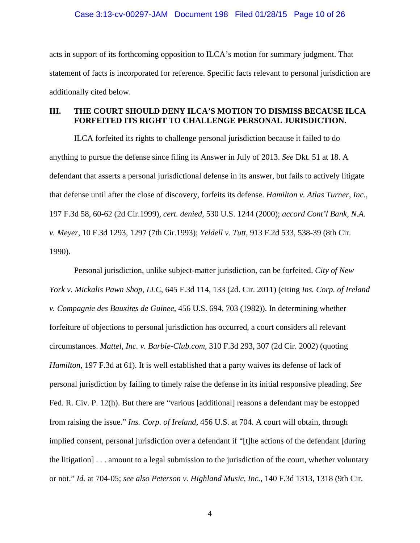acts in support of its forthcoming opposition to ILCA's motion for summary judgment. That statement of facts is incorporated for reference. Specific facts relevant to personal jurisdiction are additionally cited below.

## **III. THE COURT SHOULD DENY ILCA'S MOTION TO DISMISS BECAUSE ILCA FORFEITED ITS RIGHT TO CHALLENGE PERSONAL JURISDICTION.**

 ILCA forfeited its rights to challenge personal jurisdiction because it failed to do anything to pursue the defense since filing its Answer in July of 2013. *See* Dkt. 51 at 18. A defendant that asserts a personal jurisdictional defense in its answer, but fails to actively litigate that defense until after the close of discovery, forfeits its defense. *Hamilton v. Atlas Turner, Inc.*, 197 F.3d 58, 60-62 (2d Cir.1999), *cert. denied*, 530 U.S. 1244 (2000); *accord Cont'l Bank, N.A. v. Meyer*, 10 F.3d 1293, 1297 (7th Cir.1993); *Yeldell v. Tutt*, 913 F.2d 533, 538-39 (8th Cir. 1990).

 Personal jurisdiction, unlike subject-matter jurisdiction, can be forfeited. *City of New York v. Mickalis Pawn Shop, LLC*, 645 F.3d 114, 133 (2d. Cir. 2011) (citing *Ins. Corp. of Ireland v. Compagnie des Bauxites de Guinee*, 456 U.S. 694, 703 (1982)). In determining whether forfeiture of objections to personal jurisdiction has occurred, a court considers all relevant circumstances. *Mattel, Inc. v. Barbie-Club.com*, 310 F.3d 293, 307 (2d Cir. 2002) (quoting *Hamilton*, 197 F.3d at 61). It is well established that a party waives its defense of lack of personal jurisdiction by failing to timely raise the defense in its initial responsive pleading. *See*  Fed. R. Civ. P. 12(h). But there are "various [additional] reasons a defendant may be estopped from raising the issue." *Ins. Corp. of Ireland*, 456 U.S. at 704. A court will obtain, through implied consent, personal jurisdiction over a defendant if "[t]he actions of the defendant [during the litigation] . . . amount to a legal submission to the jurisdiction of the court, whether voluntary or not." *Id.* at 704-05; *see also Peterson v. Highland Music, Inc.*, 140 F.3d 1313, 1318 (9th Cir.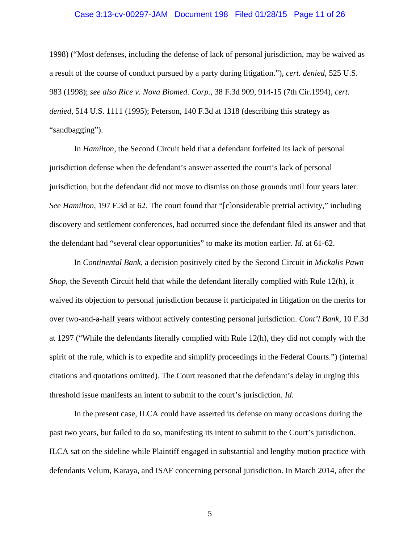#### Case 3:13-cv-00297-JAM Document 198 Filed 01/28/15 Page 11 of 26

1998) ("Most defenses, including the defense of lack of personal jurisdiction, may be waived as a result of the course of conduct pursued by a party during litigation."), *cert. denied*, 525 U.S. 983 (1998); *see also Rice v. Nova Biomed. Corp.*, 38 F.3d 909, 914-15 (7th Cir.1994), *cert. denied*, 514 U.S. 1111 (1995); Peterson, 140 F.3d at 1318 (describing this strategy as "sandbagging").

In *Hamilton,* the Second Circuit held that a defendant forfeited its lack of personal jurisdiction defense when the defendant's answer asserted the court's lack of personal jurisdiction, but the defendant did not move to dismiss on those grounds until four years later. *See Hamilton*, 197 F.3d at 62. The court found that "[c]onsiderable pretrial activity," including discovery and settlement conferences, had occurred since the defendant filed its answer and that the defendant had "several clear opportunities" to make its motion earlier. *Id.* at 61-62.

 In *Continental Bank*, a decision positively cited by the Second Circuit in *Mickalis Pawn Shop*, the Seventh Circuit held that while the defendant literally complied with Rule 12(h), it waived its objection to personal jurisdiction because it participated in litigation on the merits for over two-and-a-half years without actively contesting personal jurisdiction. *Cont'l Bank*, 10 F.3d at 1297 ("While the defendants literally complied with Rule 12(h), they did not comply with the spirit of the rule, which is to expedite and simplify proceedings in the Federal Courts.") (internal citations and quotations omitted). The Court reasoned that the defendant's delay in urging this threshold issue manifests an intent to submit to the court's jurisdiction. *Id*.

 In the present case, ILCA could have asserted its defense on many occasions during the past two years, but failed to do so, manifesting its intent to submit to the Court's jurisdiction. ILCA sat on the sideline while Plaintiff engaged in substantial and lengthy motion practice with defendants Velum, Karaya, and ISAF concerning personal jurisdiction. In March 2014, after the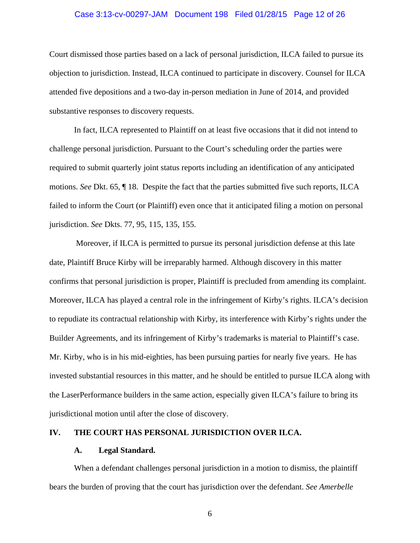#### Case 3:13-cv-00297-JAM Document 198 Filed 01/28/15 Page 12 of 26

Court dismissed those parties based on a lack of personal jurisdiction, ILCA failed to pursue its objection to jurisdiction. Instead, ILCA continued to participate in discovery. Counsel for ILCA attended five depositions and a two-day in-person mediation in June of 2014, and provided substantive responses to discovery requests.

In fact, ILCA represented to Plaintiff on at least five occasions that it did not intend to challenge personal jurisdiction. Pursuant to the Court's scheduling order the parties were required to submit quarterly joint status reports including an identification of any anticipated motions. *See* Dkt. 65, ¶ 18. Despite the fact that the parties submitted five such reports, ILCA failed to inform the Court (or Plaintiff) even once that it anticipated filing a motion on personal jurisdiction. *See* Dkts. 77, 95, 115, 135, 155.

 Moreover, if ILCA is permitted to pursue its personal jurisdiction defense at this late date, Plaintiff Bruce Kirby will be irreparably harmed. Although discovery in this matter confirms that personal jurisdiction is proper, Plaintiff is precluded from amending its complaint. Moreover, ILCA has played a central role in the infringement of Kirby's rights. ILCA's decision to repudiate its contractual relationship with Kirby, its interference with Kirby's rights under the Builder Agreements, and its infringement of Kirby's trademarks is material to Plaintiff's case. Mr. Kirby, who is in his mid-eighties, has been pursuing parties for nearly five years. He has invested substantial resources in this matter, and he should be entitled to pursue ILCA along with the LaserPerformance builders in the same action, especially given ILCA's failure to bring its jurisdictional motion until after the close of discovery.

## **IV. THE COURT HAS PERSONAL JURISDICTION OVER ILCA.**

#### **A. Legal Standard.**

When a defendant challenges personal jurisdiction in a motion to dismiss, the plaintiff bears the burden of proving that the court has jurisdiction over the defendant. *See Amerbelle*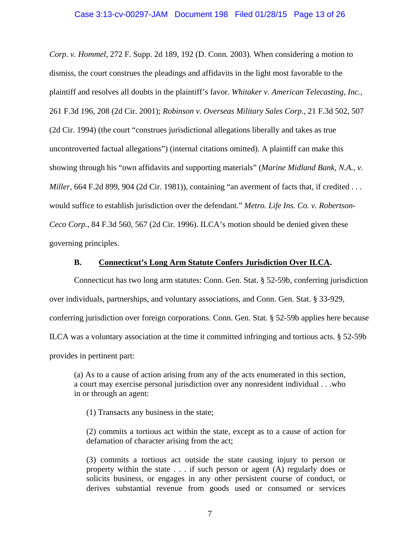## Case 3:13-cv-00297-JAM Document 198 Filed 01/28/15 Page 13 of 26

*Corp. v. Hommel*, 272 F. Supp. 2d 189, 192 (D. Conn. 2003). When considering a motion to dismiss, the court construes the pleadings and affidavits in the light most favorable to the plaintiff and resolves all doubts in the plaintiff's favor. *Whitaker v. American Telecasting, Inc.*, 261 F.3d 196, 208 (2d Cir. 2001); *Robinson v. Overseas Military Sales Corp*., 21 F.3d 502, 507 (2d Cir. 1994) (the court "construes jurisdictional allegations liberally and takes as true uncontroverted factual allegations") (internal citations omitted). A plaintiff can make this showing through his "own affidavits and supporting materials" (*Marine Midland Bank, N.A., v. Miller*, 664 F.2d 899, 904 (2d Cir. 1981)), containing "an averment of facts that, if credited . . . would suffice to establish jurisdiction over the defendant." *Metro. Life Ins. Co. v. Robertson-Ceco Corp.*, 84 F.3d 560, 567 (2d Cir. 1996). ILCA's motion should be denied given these governing principles.

#### **B. Connecticut's Long Arm Statute Confers Jurisdiction Over ILCA.**

Connecticut has two long arm statutes: Conn. Gen. Stat. § 52-59b, conferring jurisdiction over individuals, partnerships, and voluntary associations, and Conn. Gen. Stat. § 33-929, conferring jurisdiction over foreign corporations. Conn. Gen. Stat. § 52-59b applies here because ILCA was a voluntary association at the time it committed infringing and tortious acts. § 52-59b provides in pertinent part:

(a) As to a cause of action arising from any of the acts enumerated in this section, a court may exercise personal jurisdiction over any nonresident individual . . .who in or through an agent:

(1) Transacts any business in the state;

(2) commits a tortious act within the state, except as to a cause of action for defamation of character arising from the act;

(3) commits a tortious act outside the state causing injury to person or property within the state . . . if such person or agent (A) regularly does or solicits business, or engages in any other persistent course of conduct, or derives substantial revenue from goods used or consumed or services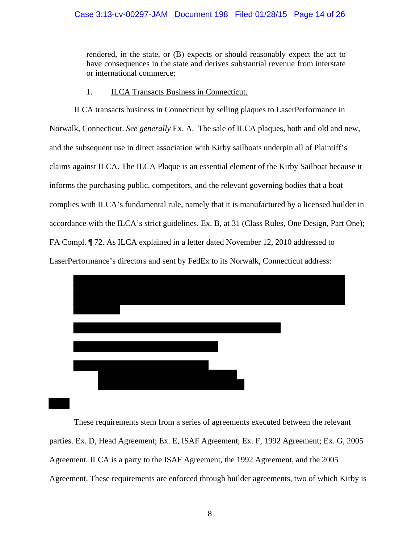## Case 3:13-cv-00297-JAM Document 198 Filed 01/28/15 Page 14 of 26

rendered, in the state, or (B) expects or should reasonably expect the act to have consequences in the state and derives substantial revenue from interstate or international commerce;

## 1. ILCA Transacts Business in Connecticut.

ILCA transacts business in Connecticut by selling plaques to LaserPerformance in Norwalk, Connecticut. *See generally* Ex. A. The sale of ILCA plaques, both and old and new, and the subsequent use in direct association with Kirby sailboats underpin all of Plaintiff's claims against ILCA. The ILCA Plaque is an essential element of the Kirby Sailboat because it informs the purchasing public, competitors, and the relevant governing bodies that a boat complies with ILCA's fundamental rule, namely that it is manufactured by a licensed builder in accordance with the ILCA's strict guidelines. Ex. B, at 31 (Class Rules, One Design, Part One); FA Compl. ¶ 72. As ILCA explained in a letter dated November 12, 2010 addressed to LaserPerformance's directors and sent by FedEx to its Norwalk, Connecticut address:



These requirements stem from a series of agreements executed between the relevant parties. Ex. D, Head Agreement; Ex. E, ISAF Agreement; Ex. F, 1992 Agreement; Ex. G, 2005 Agreement. ILCA is a party to the ISAF Agreement, the 1992 Agreement, and the 2005 Agreement. These requirements are enforced through builder agreements, two of which Kirby is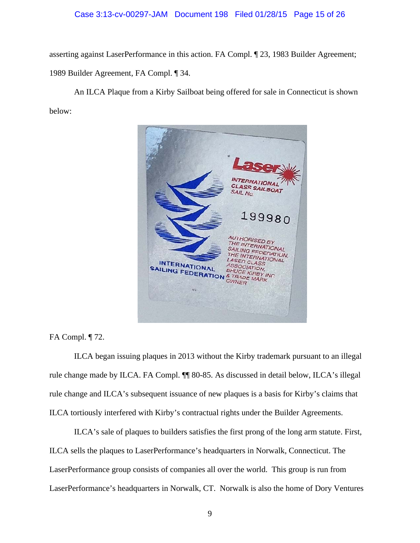#### Case 3:13-cv-00297-JAM Document 198 Filed 01/28/15 Page 15 of 26

asserting against LaserPerformance in this action. FA Compl. ¶ 23, 1983 Builder Agreement; 1989 Builder Agreement, FA Compl. ¶ 34.

An ILCA Plaque from a Kirby Sailboat being offered for sale in Connecticut is shown below:



FA Compl. ¶ 72.

ILCA began issuing plaques in 2013 without the Kirby trademark pursuant to an illegal rule change made by ILCA. FA Compl. ¶¶ 80-85. As discussed in detail below, ILCA's illegal rule change and ILCA's subsequent issuance of new plaques is a basis for Kirby's claims that ILCA tortiously interfered with Kirby's contractual rights under the Builder Agreements.

ILCA's sale of plaques to builders satisfies the first prong of the long arm statute. First, ILCA sells the plaques to LaserPerformance's headquarters in Norwalk, Connecticut. The LaserPerformance group consists of companies all over the world. This group is run from LaserPerformance's headquarters in Norwalk, CT. Norwalk is also the home of Dory Ventures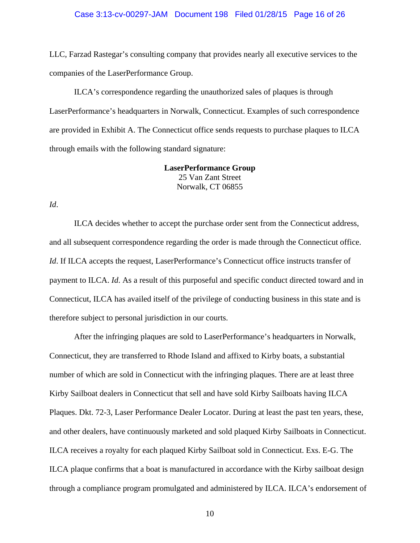#### Case 3:13-cv-00297-JAM Document 198 Filed 01/28/15 Page 16 of 26

LLC, Farzad Rastegar's consulting company that provides nearly all executive services to the companies of the LaserPerformance Group.

 ILCA's correspondence regarding the unauthorized sales of plaques is through LaserPerformance's headquarters in Norwalk, Connecticut. Examples of such correspondence are provided in Exhibit A. The Connecticut office sends requests to purchase plaques to ILCA through emails with the following standard signature:

> **LaserPerformance Group**  25 Van Zant Street Norwalk, CT 06855

*Id*.

ILCA decides whether to accept the purchase order sent from the Connecticut address, and all subsequent correspondence regarding the order is made through the Connecticut office. *Id.* If ILCA accepts the request, LaserPerformance's Connecticut office instructs transfer of payment to ILCA. *Id*. As a result of this purposeful and specific conduct directed toward and in Connecticut, ILCA has availed itself of the privilege of conducting business in this state and is therefore subject to personal jurisdiction in our courts.

After the infringing plaques are sold to LaserPerformance's headquarters in Norwalk, Connecticut, they are transferred to Rhode Island and affixed to Kirby boats, a substantial number of which are sold in Connecticut with the infringing plaques. There are at least three Kirby Sailboat dealers in Connecticut that sell and have sold Kirby Sailboats having ILCA Plaques. Dkt. 72-3, Laser Performance Dealer Locator. During at least the past ten years, these, and other dealers, have continuously marketed and sold plaqued Kirby Sailboats in Connecticut. ILCA receives a royalty for each plaqued Kirby Sailboat sold in Connecticut. Exs. E-G. The ILCA plaque confirms that a boat is manufactured in accordance with the Kirby sailboat design through a compliance program promulgated and administered by ILCA. ILCA's endorsement of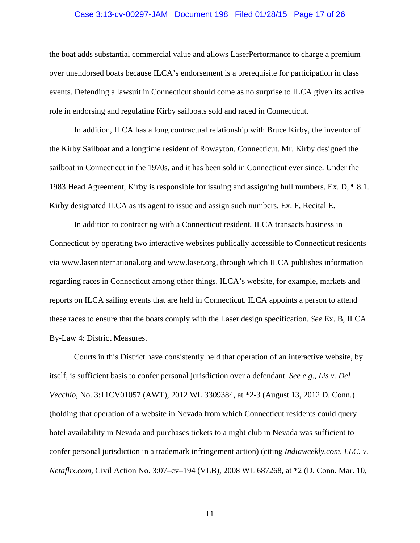#### Case 3:13-cv-00297-JAM Document 198 Filed 01/28/15 Page 17 of 26

the boat adds substantial commercial value and allows LaserPerformance to charge a premium over unendorsed boats because ILCA's endorsement is a prerequisite for participation in class events. Defending a lawsuit in Connecticut should come as no surprise to ILCA given its active role in endorsing and regulating Kirby sailboats sold and raced in Connecticut.

In addition, ILCA has a long contractual relationship with Bruce Kirby, the inventor of the Kirby Sailboat and a longtime resident of Rowayton, Connecticut. Mr. Kirby designed the sailboat in Connecticut in the 1970s, and it has been sold in Connecticut ever since. Under the 1983 Head Agreement, Kirby is responsible for issuing and assigning hull numbers. Ex. D, ¶ 8.1. Kirby designated ILCA as its agent to issue and assign such numbers. Ex. F, Recital E.

In addition to contracting with a Connecticut resident, ILCA transacts business in Connecticut by operating two interactive websites publically accessible to Connecticut residents via www.laserinternational.org and www.laser.org, through which ILCA publishes information regarding races in Connecticut among other things. ILCA's website, for example, markets and reports on ILCA sailing events that are held in Connecticut. ILCA appoints a person to attend these races to ensure that the boats comply with the Laser design specification. *See* Ex. B, ILCA By-Law 4: District Measures.

Courts in this District have consistently held that operation of an interactive website, by itself, is sufficient basis to confer personal jurisdiction over a defendant. *See e.g., Lis v. Del Vecchio*, No. 3:11CV01057 (AWT), 2012 WL 3309384, at \*2-3 (August 13, 2012 D. Conn.) (holding that operation of a website in Nevada from which Connecticut residents could query hotel availability in Nevada and purchases tickets to a night club in Nevada was sufficient to confer personal jurisdiction in a trademark infringement action) (citing *Indiaweekly.com, LLC. v. Netaflix.com,* Civil Action No. 3:07–cv–194 (VLB), 2008 WL 687268, at \*2 (D. Conn. Mar. 10,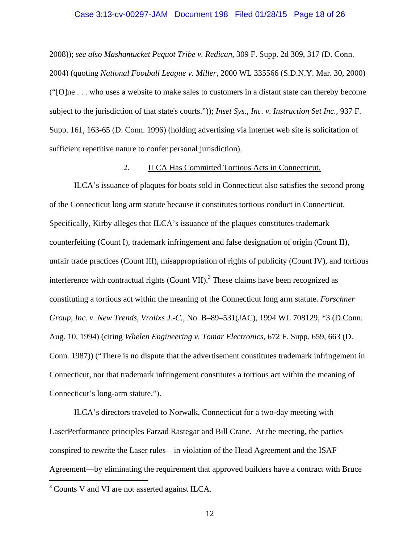#### Case 3:13-cv-00297-JAM Document 198 Filed 01/28/15 Page 18 of 26

2008)); *see also Mashantucket Pequot Tribe v. Redican*, 309 F. Supp. 2d 309, 317 (D. Conn. 2004) (quoting *National Football League v. Miller*, 2000 WL 335566 (S.D.N.Y. Mar. 30, 2000) ("[O]ne . . . who uses a website to make sales to customers in a distant state can thereby become subject to the jurisdiction of that state's courts.")); *Inset Sys., Inc. v. Instruction Set Inc.*, 937 F. Supp. 161, 163-65 (D. Conn. 1996) (holding advertising via internet web site is solicitation of sufficient repetitive nature to confer personal jurisdiction).

## 2. ILCA Has Committed Tortious Acts in Connecticut.

ILCA's issuance of plaques for boats sold in Connecticut also satisfies the second prong of the Connecticut long arm statute because it constitutes tortious conduct in Connecticut. Specifically, Kirby alleges that ILCA's issuance of the plaques constitutes trademark counterfeiting (Count I), trademark infringement and false designation of origin (Count II), unfair trade practices (Count III), misappropriation of rights of publicity (Count IV), and tortious interference with contractual rights (Count VII).<sup>3</sup> These claims have been recognized as constituting a tortious act within the meaning of the Connecticut long arm statute. *Forschner Group, Inc. v. New Trends, Vrolixs J.-C.*, No. B–89–531(JAC), 1994 WL 708129, \*3 (D.Conn. Aug. 10, 1994) (citing *Whelen Engineering v. Tomar Electronics*, 672 F. Supp. 659, 663 (D. Conn. 1987)) ("There is no dispute that the advertisement constitutes trademark infringement in Connecticut, nor that trademark infringement constitutes a tortious act within the meaning of Connecticut's long-arm statute.").

ILCA's directors traveled to Norwalk, Connecticut for a two-day meeting with LaserPerformance principles Farzad Rastegar and Bill Crane. At the meeting, the parties conspired to rewrite the Laser rules—in violation of the Head Agreement and the ISAF Agreement—by eliminating the requirement that approved builders have a contract with Bruce

 $\overline{a}$ 

<sup>3</sup> Counts V and VI are not asserted against ILCA.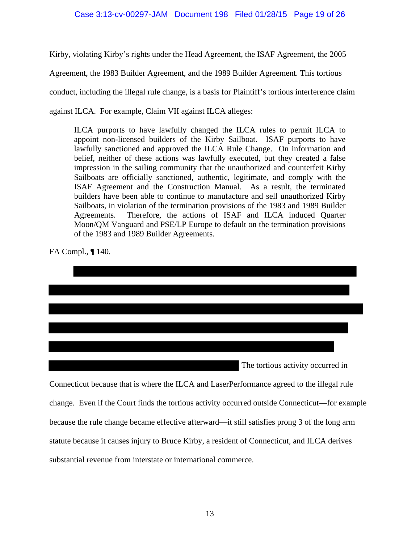## Case 3:13-cv-00297-JAM Document 198 Filed 01/28/15 Page 19 of 26

Kirby, violating Kirby's rights under the Head Agreement, the ISAF Agreement, the 2005

Agreement, the 1983 Builder Agreement, and the 1989 Builder Agreement. This tortious

conduct, including the illegal rule change, is a basis for Plaintiff's tortious interference claim

against ILCA. For example, Claim VII against ILCA alleges:

ILCA purports to have lawfully changed the ILCA rules to permit ILCA to appoint non-licensed builders of the Kirby Sailboat. ISAF purports to have lawfully sanctioned and approved the ILCA Rule Change. On information and belief, neither of these actions was lawfully executed, but they created a false impression in the sailing community that the unauthorized and counterfeit Kirby Sailboats are officially sanctioned, authentic, legitimate, and comply with the ISAF Agreement and the Construction Manual. As a result, the terminated builders have been able to continue to manufacture and sell unauthorized Kirby Sailboats, in violation of the termination provisions of the 1983 and 1989 Builder Agreements. Therefore, the actions of ISAF and ILCA induced Quarter Moon/QM Vanguard and PSE/LP Europe to default on the termination provisions of the 1983 and 1989 Builder Agreements.

FA Compl., ¶ 140.

|                                                                                                                                                                                         | The tortious activity occurred in |
|-----------------------------------------------------------------------------------------------------------------------------------------------------------------------------------------|-----------------------------------|
| $C = \begin{pmatrix} 1 & 1 & 1 \end{pmatrix}$ $A = \begin{pmatrix} 1 & 1 & 1 \end{pmatrix}$ $A = \begin{pmatrix} 1 & 1 & 1 \end{pmatrix}$ $A = \begin{pmatrix} 1 & 1 & 1 \end{pmatrix}$ |                                   |

Connecticut because that is where the ILCA and LaserPerformance agreed to the illegal rule change. Even if the Court finds the tortious activity occurred outside Connecticut—for example because the rule change became effective afterward—it still satisfies prong 3 of the long arm statute because it causes injury to Bruce Kirby, a resident of Connecticut, and ILCA derives substantial revenue from interstate or international commerce.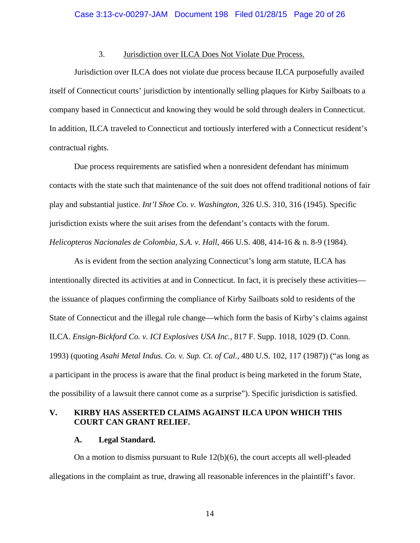## 3. Jurisdiction over ILCA Does Not Violate Due Process.

Jurisdiction over ILCA does not violate due process because ILCA purposefully availed itself of Connecticut courts' jurisdiction by intentionally selling plaques for Kirby Sailboats to a company based in Connecticut and knowing they would be sold through dealers in Connecticut. In addition, ILCA traveled to Connecticut and tortiously interfered with a Connecticut resident's contractual rights.

Due process requirements are satisfied when a nonresident defendant has minimum contacts with the state such that maintenance of the suit does not offend traditional notions of fair play and substantial justice. *Int'l Shoe Co. v. Washington*, 326 U.S. 310, 316 (1945). Specific jurisdiction exists where the suit arises from the defendant's contacts with the forum. *Helicopteros Nacionales de Colombia, S.A. v. Hall*, 466 U.S. 408, 414-16 & n. 8-9 (1984).

As is evident from the section analyzing Connecticut's long arm statute, ILCA has intentionally directed its activities at and in Connecticut. In fact, it is precisely these activities the issuance of plaques confirming the compliance of Kirby Sailboats sold to residents of the State of Connecticut and the illegal rule change—which form the basis of Kirby's claims against ILCA. *Ensign-Bickford Co. v. ICI Explosives USA Inc.*, 817 F. Supp. 1018, 1029 (D. Conn. 1993) (quoting *Asahi Metal Indus. Co. v. Sup. Ct. of Cal.*, 480 U.S. 102, 117 (1987)) ("as long as a participant in the process is aware that the final product is being marketed in the forum State, the possibility of a lawsuit there cannot come as a surprise"). Specific jurisdiction is satisfied.

## **V. KIRBY HAS ASSERTED CLAIMS AGAINST ILCA UPON WHICH THIS COURT CAN GRANT RELIEF.**

## **A. Legal Standard.**

On a motion to dismiss pursuant to Rule 12(b)(6), the court accepts all well-pleaded allegations in the complaint as true, drawing all reasonable inferences in the plaintiff's favor.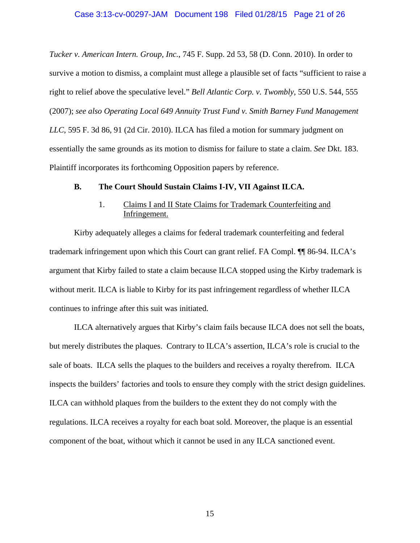*Tucker v. American Intern. Group, Inc.*, 745 F. Supp. 2d 53, 58 (D. Conn. 2010). In order to survive a motion to dismiss, a complaint must allege a plausible set of facts "sufficient to raise a right to relief above the speculative level." *Bell Atlantic Corp. v. Twombly*, 550 U.S. 544, 555 (2007); *see also Operating Local 649 Annuity Trust Fund v. Smith Barney Fund Management LLC*, 595 F. 3d 86, 91 (2d Cir. 2010). ILCA has filed a motion for summary judgment on essentially the same grounds as its motion to dismiss for failure to state a claim. *See* Dkt. 183. Plaintiff incorporates its forthcoming Opposition papers by reference.

#### **B. The Court Should Sustain Claims I-IV, VII Against ILCA.**

## 1. Claims I and II State Claims for Trademark Counterfeiting and Infringement.

 Kirby adequately alleges a claims for federal trademark counterfeiting and federal trademark infringement upon which this Court can grant relief. FA Compl. ¶¶ 86-94. ILCA's argument that Kirby failed to state a claim because ILCA stopped using the Kirby trademark is without merit. ILCA is liable to Kirby for its past infringement regardless of whether ILCA continues to infringe after this suit was initiated.

 ILCA alternatively argues that Kirby's claim fails because ILCA does not sell the boats, but merely distributes the plaques. Contrary to ILCA's assertion, ILCA's role is crucial to the sale of boats. ILCA sells the plaques to the builders and receives a royalty therefrom. ILCA inspects the builders' factories and tools to ensure they comply with the strict design guidelines. ILCA can withhold plaques from the builders to the extent they do not comply with the regulations. ILCA receives a royalty for each boat sold. Moreover, the plaque is an essential component of the boat, without which it cannot be used in any ILCA sanctioned event.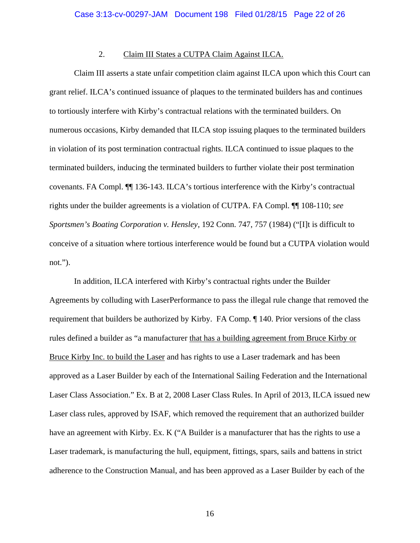## 2. Claim III States a CUTPA Claim Against ILCA.

 Claim III asserts a state unfair competition claim against ILCA upon which this Court can grant relief. ILCA's continued issuance of plaques to the terminated builders has and continues to tortiously interfere with Kirby's contractual relations with the terminated builders. On numerous occasions, Kirby demanded that ILCA stop issuing plaques to the terminated builders in violation of its post termination contractual rights. ILCA continued to issue plaques to the terminated builders, inducing the terminated builders to further violate their post termination covenants. FA Compl. ¶¶ 136-143. ILCA's tortious interference with the Kirby's contractual rights under the builder agreements is a violation of CUTPA. FA Compl. ¶¶ 108-110; *see Sportsmen's Boating Corporation v. Hensley*, 192 Conn. 747, 757 (1984) ("[I]t is difficult to conceive of a situation where tortious interference would be found but a CUTPA violation would not.").

 In addition, ILCA interfered with Kirby's contractual rights under the Builder Agreements by colluding with LaserPerformance to pass the illegal rule change that removed the requirement that builders be authorized by Kirby. FA Comp. ¶ 140. Prior versions of the class rules defined a builder as "a manufacturer that has a building agreement from Bruce Kirby or Bruce Kirby Inc. to build the Laser and has rights to use a Laser trademark and has been approved as a Laser Builder by each of the International Sailing Federation and the International Laser Class Association." Ex. B at 2, 2008 Laser Class Rules. In April of 2013, ILCA issued new Laser class rules, approved by ISAF, which removed the requirement that an authorized builder have an agreement with Kirby. Ex. K ("A Builder is a manufacturer that has the rights to use a Laser trademark, is manufacturing the hull, equipment, fittings, spars, sails and battens in strict adherence to the Construction Manual, and has been approved as a Laser Builder by each of the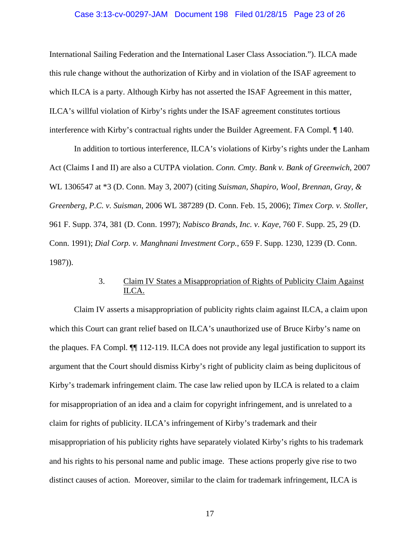#### Case 3:13-cv-00297-JAM Document 198 Filed 01/28/15 Page 23 of 26

International Sailing Federation and the International Laser Class Association."). ILCA made this rule change without the authorization of Kirby and in violation of the ISAF agreement to which ILCA is a party. Although Kirby has not asserted the ISAF Agreement in this matter, ILCA's willful violation of Kirby's rights under the ISAF agreement constitutes tortious interference with Kirby's contractual rights under the Builder Agreement. FA Compl. ¶ 140.

 In addition to tortious interference, ILCA's violations of Kirby's rights under the Lanham Act (Claims I and II) are also a CUTPA violation. *Conn. Cmty. Bank v. Bank of Greenwich*, 2007 WL 1306547 at \*3 (D. Conn. May 3, 2007) (citing *Suisman, Shapiro, Wool, Brennan, Gray, & Greenberg, P.C. v. Suisman*, 2006 WL 387289 (D. Conn. Feb. 15, 2006); *Timex Corp. v. Stoller*, 961 F. Supp. 374, 381 (D. Conn. 1997); *Nabisco Brands, Inc. v. Kaye,* 760 F. Supp. 25, 29 (D. Conn. 1991); *Dial Corp. v. Manghnani Investment Corp.*, 659 F. Supp. 1230, 1239 (D. Conn. 1987)).

## 3. Claim IV States a Misappropriation of Rights of Publicity Claim Against ILCA.

 Claim IV asserts a misappropriation of publicity rights claim against ILCA, a claim upon which this Court can grant relief based on ILCA's unauthorized use of Bruce Kirby's name on the plaques. FA Compl. ¶¶ 112-119. ILCA does not provide any legal justification to support its argument that the Court should dismiss Kirby's right of publicity claim as being duplicitous of Kirby's trademark infringement claim. The case law relied upon by ILCA is related to a claim for misappropriation of an idea and a claim for copyright infringement, and is unrelated to a claim for rights of publicity. ILCA's infringement of Kirby's trademark and their misappropriation of his publicity rights have separately violated Kirby's rights to his trademark and his rights to his personal name and public image. These actions properly give rise to two distinct causes of action. Moreover, similar to the claim for trademark infringement, ILCA is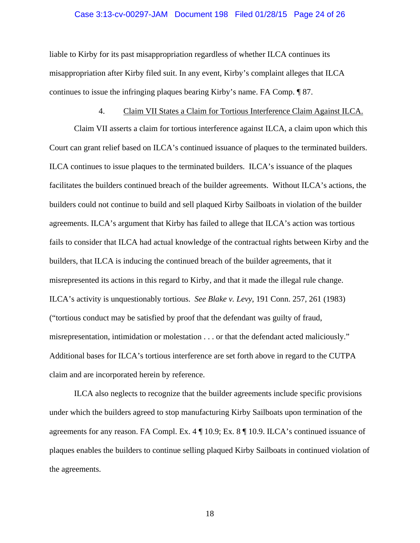#### Case 3:13-cv-00297-JAM Document 198 Filed 01/28/15 Page 24 of 26

liable to Kirby for its past misappropriation regardless of whether ILCA continues its misappropriation after Kirby filed suit. In any event, Kirby's complaint alleges that ILCA continues to issue the infringing plaques bearing Kirby's name. FA Comp. ¶ 87.

#### 4. Claim VII States a Claim for Tortious Interference Claim Against ILCA.

 Claim VII asserts a claim for tortious interference against ILCA, a claim upon which this Court can grant relief based on ILCA's continued issuance of plaques to the terminated builders. ILCA continues to issue plaques to the terminated builders. ILCA's issuance of the plaques facilitates the builders continued breach of the builder agreements. Without ILCA's actions, the builders could not continue to build and sell plaqued Kirby Sailboats in violation of the builder agreements. ILCA's argument that Kirby has failed to allege that ILCA's action was tortious fails to consider that ILCA had actual knowledge of the contractual rights between Kirby and the builders, that ILCA is inducing the continued breach of the builder agreements, that it misrepresented its actions in this regard to Kirby, and that it made the illegal rule change. ILCA's activity is unquestionably tortious. *See Blake v. Levy*, 191 Conn. 257, 261 (1983) ("tortious conduct may be satisfied by proof that the defendant was guilty of fraud, misrepresentation, intimidation or molestation . . . or that the defendant acted maliciously." Additional bases for ILCA's tortious interference are set forth above in regard to the CUTPA claim and are incorporated herein by reference.

 ILCA also neglects to recognize that the builder agreements include specific provisions under which the builders agreed to stop manufacturing Kirby Sailboats upon termination of the agreements for any reason. FA Compl. Ex. 4 ¶ 10.9; Ex. 8 ¶ 10.9. ILCA's continued issuance of plaques enables the builders to continue selling plaqued Kirby Sailboats in continued violation of the agreements.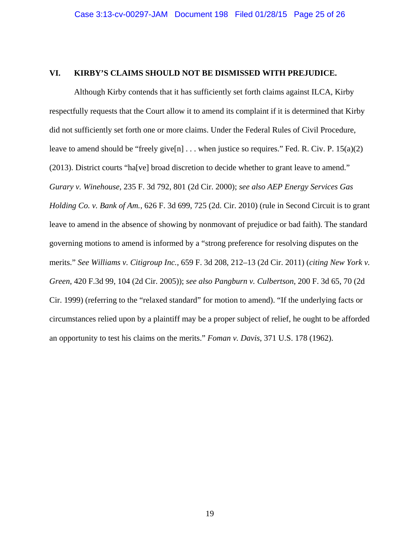## **VI. KIRBY'S CLAIMS SHOULD NOT BE DISMISSED WITH PREJUDICE.**

Although Kirby contends that it has sufficiently set forth claims against ILCA, Kirby respectfully requests that the Court allow it to amend its complaint if it is determined that Kirby did not sufficiently set forth one or more claims. Under the Federal Rules of Civil Procedure, leave to amend should be "freely give[n]  $\dots$  when justice so requires." Fed. R. Civ. P. 15(a)(2) (2013). District courts "ha[ve] broad discretion to decide whether to grant leave to amend." *Gurary v. Winehouse*, 235 F. 3d 792, 801 (2d Cir. 2000); *see also AEP Energy Services Gas Holding Co. v. Bank of Am.*, 626 F. 3d 699, 725 (2d. Cir. 2010) (rule in Second Circuit is to grant leave to amend in the absence of showing by nonmovant of prejudice or bad faith). The standard governing motions to amend is informed by a "strong preference for resolving disputes on the merits." *See Williams v. Citigroup Inc.*, 659 F. 3d 208, 212–13 (2d Cir. 2011) (*citing New York v. Green*, 420 F.3d 99, 104 (2d Cir. 2005)); *see also Pangburn v. Culbertson*, 200 F. 3d 65, 70 (2d Cir. 1999) (referring to the "relaxed standard" for motion to amend). "If the underlying facts or circumstances relied upon by a plaintiff may be a proper subject of relief, he ought to be afforded an opportunity to test his claims on the merits." *Foman v. Davis*, 371 U.S. 178 (1962).